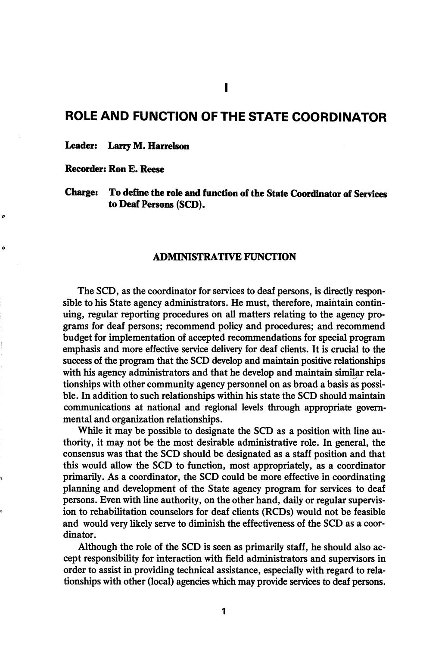# ROLE AND FUNCTION OF THE STATE COORDINATOR

Leader: Larry M. Harrelson

Recorder: Ron E. Reese

ە

 $\ddot{\phantom{0}}$ 

Charge: To define the role and function of the State Coordinator of Services to Deaf Persons (SCD).

# ADMINISTRATIVE FUNCTION

The SCD, as the coordinator for services to deaf persons, is directly respon sible to his State agency administrators. He must, therefore, maintain contin uing, regular reporting procedures on all matters relating to the agency pro grams for deaf persons; recommend policy and procedures; and recommend budget for implementation of accepted recommendations for special program emphasis and more effective service delivery for deaf clients. It is crucial to the success of the program that the SCD develop and maintain positive relationships with his agency administrators and that he develop and maintain similar rela tionships with other community agency personnel on as broad a basis as possi ble. In addition to such relationships within his state the SCD should maintain communications at national and regional levels through appropriate govern mental and organization relationships.

While it may be possible to designate the SCD as a position with line au thority, it may not be the most desirable administrative role. In general, the consensus was that the SCD should be designated as a staff position and that this would allow the SCD to function, most appropriately, as a coordinator primarily. As a coordinator, the SCD could be more effective in coordinating planning and development of the State agency program for services to deaf persons. Even with line authority, on the other hand, daily or regular supervis ion to rehabilitation counselors for deaf clients (RCDs) would not be feasible and would very likely serve to diminish the effectiveness of the SCD as a coor dinator.

Although the role of the SCD is seen as primarily staff, he should also ac cept responsibility for interaction with field administrators and supervisors in order to assist in providing technical assistance, especially with regard to rela tionships with other (local) agencies which may provide services to deaf persons.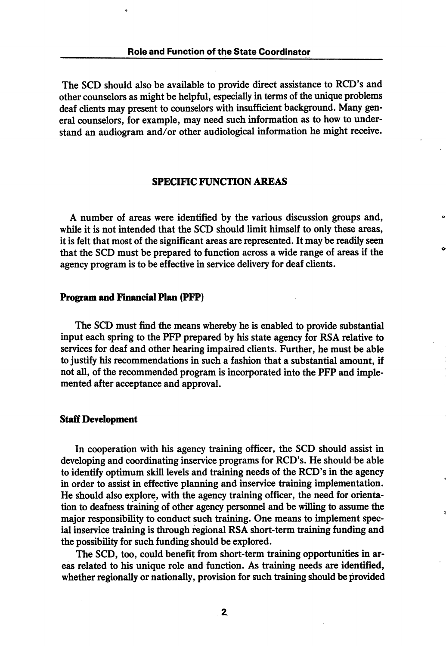The SCD should also be available to provide direct assistance to RCD's and other counselors as might be helpful, especially in terms of the unique problems deaf clients may present to counselors with insufficient background. Many gen eral counselors, for example, may need such information as to how to under stand an audiogram and/or other audiological information he might receive.

# SPECIFIC FUNCTION AREAS

A number of areas were identified by the various discussion groups and, while it is not intended that the SCD should limit himself to only these areas, it is felt that most of the significant areas are represented. It may be readily seen that the SCD must be prepared to function across a wide range of areas if the agency program is to be effective in service delivery for deaf clients.

#### Program and Financial Plan (PFP)

The SCD must find the means whereby he is enabled to provide substantial input each spring to the PFP prepared by his state agency for RSA relative to services for deaf and other hearing impaired clients. Further, he must be able to justify his recommendations in such a fashion that a substantial amount, if not all, of the recommended program is incorporated into the PFP and imple mented after acceptance and approval.

#### Staff Development

In cooperation with his agency training officer, the SCD should assist in developing and coordinating inservice programs for RCD's. He should be able to identify optimum skill levels and training needs of the RCD's in the agency in order to assist in effective planning and inservice training implementation. He should also explore, with the agency training officer, the need for orienta tion to deafness training of other agency personnel and be willing to assume the major responsibility to conduct such training. One means to implement spec ial inservice training is through regional RSA short-term training funding and the possibility for such funding should be explored.

The SCD, too, could benefit from short-term training opportunities in ar eas related to his unique role and function. As training needs are identified, whether regionally or nationally, provision for such training should be provided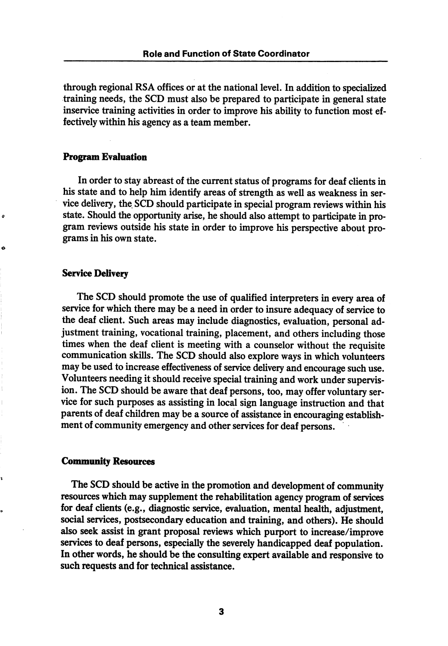through regional RSA offices or at the national level. In addition to specialized training needs, the SCD must also be prepared to participate in general state inservice training activities in order to improve his ability to function most ef fectively within his agency as a team member.

# Program Evaluation

In order to stay abreast of the current status of programs for deaf clients in his state and to help him identify areas of strength as well as weakness in ser vice delivery, the. SCD should participate in special program reviews within his state. Should the opportunity arise, he should also attempt to participate in pro gram reviews outside his state in order to improve his perspective about pro grams in his own state.

# Service Delivery

The SCD should promote the use of qualified interpreters in every area of service for which there may be a need in order to insure adequacy of service to the deaf client. Such areas may include diagnostics, evaluation, personal ad justment training, vocational training, placement, and others including those times when the deaf client is meeting with a counselor without the requisite communication skills. The SCD should also explore ways in which volunteers may be used to increase effectiveness of service delivery and encourage such use. Volunteers needing it should receive special training and work under supervis ion. The SCD should be aware that deaf persons, too, may offer voluntary service for such purposes as assisting in local sign language instruction and that parents of deaf children may be a source of assistance in encouraging establish ment of community emergency and other services for deaf persons.

## Community Resources

The SCD should be active in the promotion and development of community resources which may supplement the rehabilitation agency program of services for deaf clients (e.g., diagnostic service, evaluation, mental health, adjustment, social services, postsecondary education and training, and others). He should also seek assist in grant proposal reviews which purport to increase/improve services to deaf persons, especially the severely handicapped deaf population. In other words, he should be the consulting expert available and responsive to such requests and for technical assistance.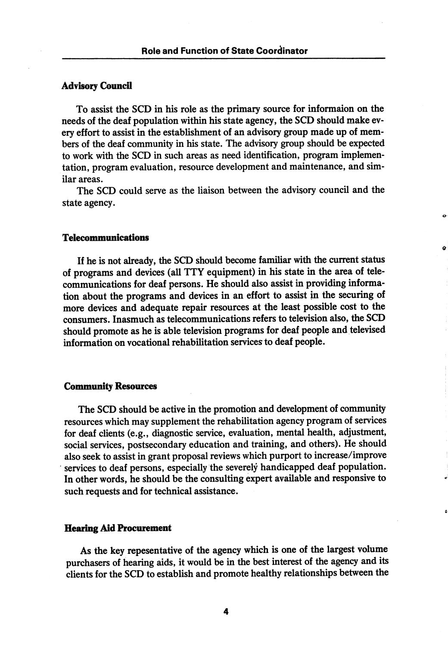# **Advisory Council**

To assist the SCD in his role as the primary source for informaion on the needs of the deaf population within his state agency, the SCD should make ev ery effort to assist in the establishment of an advisory group made up of mem bers of the deaf community in his state. The advisory group should be expected to work with the SCD in such areas as need identification, program implemen tation, program evaluation, resource development and maintenance, and sim ilar areas.

The SCD could serve as the liaison between the advisory council and the state agency.

## Telecommunications

If he is not already, the SCD should become familiar with the current status of programs and devices (all TTY equipment) in his state in the area of tele communications for deaf persons. He should also assist in providing informa tion about the programs and devices in an effort to assist in the securing of more devices and adequate repair resources at the least possible cost to the consumers. Inasmuch as telecommunications refers to television also, the SCD should promote as he is able television programs for deaf people and televised information on vocational rehabilitation services to deaf people.

#### Community Resources

The SCD should be active in the promotion and development of community resources which may supplement the rehabilitation agency program of services for deaf clients (e.g., diagnostic service, evaluation, mental health, adjustment, social services, postsecondary education and training, and others). He should also seek to assist in grant proposal reviews which purport to increase/improve services to deaf persons, especially the severely handicapped deaf population. In other words, he should be the consulting expert available and responsive to such requests and for technical assistance.

## Hearing Aid Procurement

As the key repesentative of the agency which is one of the largest volume purchasers of hearing aids, it would be in the best interest of the agency and its clients for the SCD to establish and promote healthy relationships between the